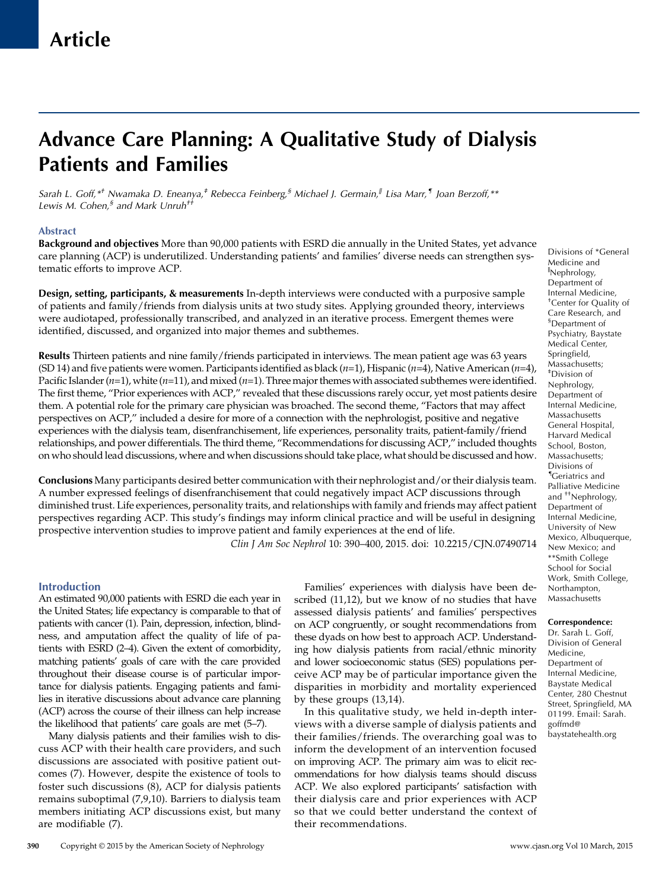# Advance Care Planning: A Qualitative Study of Dialysis Patients and Families

Sarah L. Goff,\*<sup>†</sup> Nwamaka D. Eneanya,<sup>‡</sup> Rebecca Feinberg,<sup>§</sup> Michael J. Germain,<sup>||</sup> Lisa Marr,<sup>¶</sup> Joan Berzoff,\*\* Lewis M. Cohen, $^{\$}$  and Mark Unruh<sup>††</sup>

### Abstract

Background and objectives More than 90,000 patients with ESRD die annually in the United States, yet advance care planning (ACP) is underutilized. Understanding patients' and families' diverse needs can strengthen systematic efforts to improve ACP.

Design, setting, participants, & measurements In-depth interviews were conducted with a purposive sample of patients and family/friends from dialysis units at two study sites. Applying grounded theory, interviews were audiotaped, professionally transcribed, and analyzed in an iterative process. Emergent themes were identified, discussed, and organized into major themes and subthemes.

Results Thirteen patients and nine family/friends participated in interviews. The mean patient age was 63 years (SD 14) and five patients were women. Participants identified as black ( $n=1$ ), Hispanic ( $n=4$ ), Native American ( $n=4$ ), Pacific Islander ( $n=1$ ), white ( $n=11$ ), and mixed ( $n=1$ ). Three major themes with associated subthemes were identified. The first theme, "Prior experiences with ACP," revealed that these discussions rarely occur, yet most patients desire them. A potential role for the primary care physician was broached. The second theme, "Factors that may affect perspectives on ACP," included a desire for more of a connection with the nephrologist, positive and negative experiences with the dialysis team, disenfranchisement, life experiences, personality traits, patient-family/friend relationships, and power differentials. The third theme, "Recommendations for discussing ACP," included thoughts on who should lead discussions, where and when discussions should take place, what should be discussed and how.

Conclusions Many participants desired better communication with their nephrologist and/or their dialysis team. A number expressed feelings of disenfranchisement that could negatively impact ACP discussions through diminished trust. Life experiences, personality traits, and relationships with family and friends may affect patient perspectives regarding ACP. This study's findings may inform clinical practice and will be useful in designing prospective intervention studies to improve patient and family experiences at the end of life.

Clin J Am Soc Nephrol 10: 390–400, 2015. doi: 10.2215/CJN.07490714

## Introduction

An estimated 90,000 patients with ESRD die each year in the United States; life expectancy is comparable to that of patients with cancer (1). Pain, depression, infection, blindness, and amputation affect the quality of life of patients with ESRD (2–4). Given the extent of comorbidity, matching patients' goals of care with the care provided throughout their disease course is of particular importance for dialysis patients. Engaging patients and families in iterative discussions about advance care planning (ACP) across the course of their illness can help increase the likelihood that patients' care goals are met (5–7).

Many dialysis patients and their families wish to discuss ACP with their health care providers, and such discussions are associated with positive patient outcomes (7). However, despite the existence of tools to foster such discussions (8), ACP for dialysis patients remains suboptimal (7,9,10). Barriers to dialysis team members initiating ACP discussions exist, but many are modifiable (7).

Families' experiences with dialysis have been described (11,12), but we know of no studies that have assessed dialysis patients' and families' perspectives on ACP congruently, or sought recommendations from these dyads on how best to approach ACP. Understanding how dialysis patients from racial/ethnic minority and lower socioeconomic status (SES) populations perceive ACP may be of particular importance given the disparities in morbidity and mortality experienced by these groups (13,14).

In this qualitative study, we held in-depth interviews with a diverse sample of dialysis patients and their families/friends. The overarching goal was to inform the development of an intervention focused on improving ACP. The primary aim was to elicit recommendations for how dialysis teams should discuss ACP. We also explored participants' satisfaction with their dialysis care and prior experiences with ACP so that we could better understand the context of their recommendations.

Divisions of \*General Medicine and | Nephrology, Department of Internal Medicine, † Center for Quality of Care Research, and § Department of Psychiatry, Baystate Medical Center, Springfield, Massachusetts; ‡ Division of Nephrology, Department of Internal Medicine, Massachusetts General Hospital, Harvard Medical School, Boston, Massachusetts; Divisions of ¶ Geriatrics and Palliative Medicine and <sup>++</sup>Nephrology, Department of Internal Medicine, University of New Mexico, Albuquerque, New Mexico; and \*\*Smith College School for Social Work, Smith College, Northampton, Massachusetts

#### Correspondence:

Dr. Sarah L. Goff, Division of General Medicine, Department of Internal Medicine, Baystate Medical Center, 280 Chestnut Street, Springfield, MA 01199. Email: [Sarah.](mailto:Sarah.goffmd@baystatehealth.org) [goffmd@](mailto:Sarah.goffmd@baystatehealth.org) [baystatehealth.org](mailto:Sarah.goffmd@baystatehealth.org)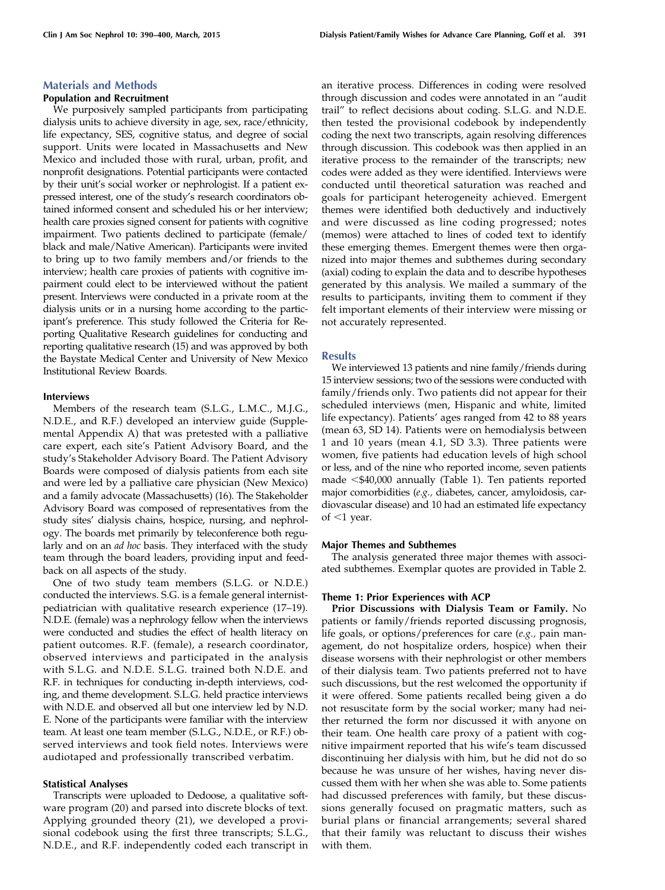## Materials and Methods

## Population and Recruitment

We purposively sampled participants from participating dialysis units to achieve diversity in age, sex, race/ethnicity, life expectancy, SES, cognitive status, and degree of social support. Units were located in Massachusetts and New Mexico and included those with rural, urban, profit, and nonprofit designations. Potential participants were contacted by their unit's social worker or nephrologist. If a patient expressed interest, one of the study's research coordinators obtained informed consent and scheduled his or her interview; health care proxies signed consent for patients with cognitive impairment. Two patients declined to participate (female/ black and male/Native American). Participants were invited to bring up to two family members and/or friends to the interview; health care proxies of patients with cognitive impairment could elect to be interviewed without the patient present. Interviews were conducted in a private room at the dialysis units or in a nursing home according to the participant's preference. This study followed the Criteria for Reporting Qualitative Research guidelines for conducting and reporting qualitative research (15) and was approved by both the Baystate Medical Center and University of New Mexico Institutional Review Boards.

#### Interviews

Members of the research team (S.L.G., L.M.C., M.J.G., N.D.E., and R.F.) developed an interview guide [\(Supple](http://cjasn.asnjournals.org/lookup/suppl/doi:10.2215/CJN.07490714/-/DCSupplemental)[mental Appendix A](http://cjasn.asnjournals.org/lookup/suppl/doi:10.2215/CJN.07490714/-/DCSupplemental)) that was pretested with a palliative care expert, each site's Patient Advisory Board, and the study's Stakeholder Advisory Board. The Patient Advisory Boards were composed of dialysis patients from each site and were led by a palliative care physician (New Mexico) and a family advocate (Massachusetts) (16). The Stakeholder Advisory Board was composed of representatives from the study sites' dialysis chains, hospice, nursing, and nephrology. The boards met primarily by teleconference both regularly and on an *ad hoc* basis. They interfaced with the study team through the board leaders, providing input and feedback on all aspects of the study.

One of two study team members (S.L.G. or N.D.E.) conducted the interviews. S.G. is a female general internistpediatrician with qualitative research experience (17–19). N.D.E. (female) was a nephrology fellow when the interviews were conducted and studies the effect of health literacy on patient outcomes. R.F. (female), a research coordinator, observed interviews and participated in the analysis with S.L.G. and N.D.E. S.L.G. trained both N.D.E. and R.F. in techniques for conducting in-depth interviews, coding, and theme development. S.L.G. held practice interviews with N.D.E. and observed all but one interview led by N.D. E. None of the participants were familiar with the interview team. At least one team member (S.L.G., N.D.E., or R.F.) observed interviews and took field notes. Interviews were audiotaped and professionally transcribed verbatim.

### Statistical Analyses

Transcripts were uploaded to Dedoose, a qualitative software program (20) and parsed into discrete blocks of text. Applying grounded theory (21), we developed a provisional codebook using the first three transcripts; S.L.G., N.D.E., and R.F. independently coded each transcript in an iterative process. Differences in coding were resolved through discussion and codes were annotated in an "audit trail" to reflect decisions about coding. S.L.G. and N.D.E. then tested the provisional codebook by independently coding the next two transcripts, again resolving differences through discussion. This codebook was then applied in an iterative process to the remainder of the transcripts; new codes were added as they were identified. Interviews were conducted until theoretical saturation was reached and goals for participant heterogeneity achieved. Emergent themes were identified both deductively and inductively and were discussed as line coding progressed; notes (memos) were attached to lines of coded text to identify these emerging themes. Emergent themes were then organized into major themes and subthemes during secondary (axial) coding to explain the data and to describe hypotheses generated by this analysis. We mailed a summary of the results to participants, inviting them to comment if they felt important elements of their interview were missing or not accurately represented.

#### **Results**

We interviewed 13 patients and nine family/friends during 15 interview sessions; two of the sessions were conducted with family/friends only. Two patients did not appear for their scheduled interviews (men, Hispanic and white, limited life expectancy). Patients' ages ranged from 42 to 88 years (mean 63, SD 14). Patients were on hemodialysis between 1 and 10 years (mean 4.1, SD 3.3). Three patients were women, five patients had education levels of high school or less, and of the nine who reported income, seven patients made  $\leq$ \$40,000 annually (Table 1). Ten patients reported major comorbidities (e.g., diabetes, cancer, amyloidosis, cardiovascular disease) and 10 had an estimated life expectancy of  $<$ 1 year.

#### Major Themes and Subthemes

The analysis generated three major themes with associated subthemes. Exemplar quotes are provided in Table 2.

#### Theme 1: Prior Experiences with ACP

Prior Discussions with Dialysis Team or Family. No patients or family/friends reported discussing prognosis, life goals, or options/preferences for care (e.g., pain management, do not hospitalize orders, hospice) when their disease worsens with their nephrologist or other members of their dialysis team. Two patients preferred not to have such discussions, but the rest welcomed the opportunity if it were offered. Some patients recalled being given a do not resuscitate form by the social worker; many had neither returned the form nor discussed it with anyone on their team. One health care proxy of a patient with cognitive impairment reported that his wife's team discussed discontinuing her dialysis with him, but he did not do so because he was unsure of her wishes, having never discussed them with her when she was able to. Some patients had discussed preferences with family, but these discussions generally focused on pragmatic matters, such as burial plans or financial arrangements; several shared that their family was reluctant to discuss their wishes with them.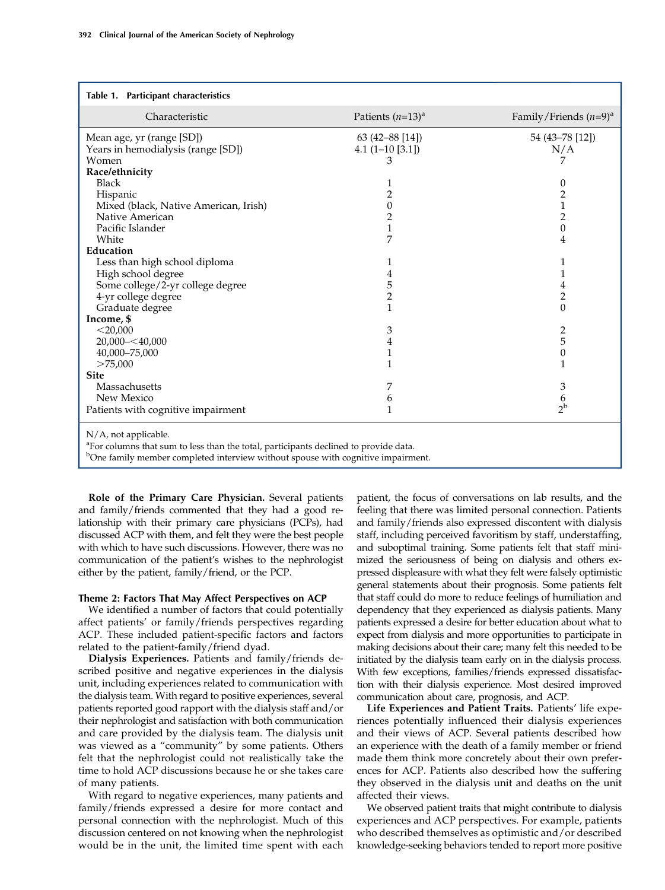| Table 1. Participant characteristics                                                             |                      |                          |
|--------------------------------------------------------------------------------------------------|----------------------|--------------------------|
| Characteristic                                                                                   | Patients $(n=13)^a$  | Family/Friends $(n=9)^a$ |
| Mean age, yr (range [SD])                                                                        | 63 (42–88 $[14]$ )   | 54 (43-78 [12])          |
| Years in hemodialysis (range [SD])                                                               | $4.1 (1 - 10 [3.1])$ | N/A                      |
| Women                                                                                            | З                    | 7                        |
| Race/ethnicity                                                                                   |                      |                          |
| <b>Black</b>                                                                                     | 1                    | 0                        |
| Hispanic                                                                                         | $\overline{2}$       | 2                        |
| Mixed (black, Native American, Irish)                                                            | $\theta$             | $\,1$                    |
| Native American                                                                                  | 2                    | $\overline{2}$           |
| Pacific Islander                                                                                 | $\mathbf{1}$         | $\boldsymbol{0}$         |
| White                                                                                            | 7                    | $\overline{4}$           |
| Education                                                                                        |                      |                          |
| Less than high school diploma                                                                    | 1                    | 1                        |
| High school degree                                                                               | 4                    | 1                        |
| Some college/2-yr college degree                                                                 | 5                    | 4                        |
| 4-yr college degree                                                                              | $\overline{c}$       | $\overline{2}$           |
| Graduate degree                                                                                  | $\mathbf{1}$         | $\overline{0}$           |
| Income, \$                                                                                       |                      |                          |
| $<$ 20,000                                                                                       | 3                    | $rac{2}{5}$              |
| 20,000 - < 40,000                                                                                | 4                    |                          |
| 40,000-75,000                                                                                    | 1                    | $\boldsymbol{0}$         |
| >75,000                                                                                          | 1                    | 1                        |
| <b>Site</b>                                                                                      |                      |                          |
| Massachusetts                                                                                    | 7                    | 3                        |
| New Mexico                                                                                       | 6                    | 6                        |
| Patients with cognitive impairment                                                               | $\mathbf{1}$         | $2^{\rm b}$              |
| N/A, not applicable.                                                                             |                      |                          |
| <sup>a</sup> For columns that sum to less than the total, participants declined to provide data. |                      |                          |

<sup>b</sup>One family member completed interview without spouse with cognitive impairment.

Role of the Primary Care Physician. Several patients and family/friends commented that they had a good relationship with their primary care physicians (PCPs), had discussed ACP with them, and felt they were the best people with which to have such discussions. However, there was no communication of the patient's wishes to the nephrologist either by the patient, family/friend, or the PCP.

# Theme 2: Factors That May Affect Perspectives on ACP

We identified a number of factors that could potentially affect patients' or family/friends perspectives regarding ACP. These included patient-specific factors and factors related to the patient-family/friend dyad.

Dialysis Experiences. Patients and family/friends described positive and negative experiences in the dialysis unit, including experiences related to communication with the dialysis team. With regard to positive experiences, several patients reported good rapport with the dialysis staff and/or their nephrologist and satisfaction with both communication and care provided by the dialysis team. The dialysis unit was viewed as a "community" by some patients. Others felt that the nephrologist could not realistically take the time to hold ACP discussions because he or she takes care of many patients.

With regard to negative experiences, many patients and family/friends expressed a desire for more contact and personal connection with the nephrologist. Much of this discussion centered on not knowing when the nephrologist would be in the unit, the limited time spent with each

patient, the focus of conversations on lab results, and the feeling that there was limited personal connection. Patients and family/friends also expressed discontent with dialysis staff, including perceived favoritism by staff, understaffing, and suboptimal training. Some patients felt that staff minimized the seriousness of being on dialysis and others expressed displeasure with what they felt were falsely optimistic general statements about their prognosis. Some patients felt that staff could do more to reduce feelings of humiliation and dependency that they experienced as dialysis patients. Many patients expressed a desire for better education about what to expect from dialysis and more opportunities to participate in making decisions about their care; many felt this needed to be initiated by the dialysis team early on in the dialysis process. With few exceptions, families/friends expressed dissatisfaction with their dialysis experience. Most desired improved communication about care, prognosis, and ACP.

Life Experiences and Patient Traits. Patients' life experiences potentially influenced their dialysis experiences and their views of ACP. Several patients described how an experience with the death of a family member or friend made them think more concretely about their own preferences for ACP. Patients also described how the suffering they observed in the dialysis unit and deaths on the unit affected their views.

We observed patient traits that might contribute to dialysis experiences and ACP perspectives. For example, patients who described themselves as optimistic and/or described knowledge-seeking behaviors tended to report more positive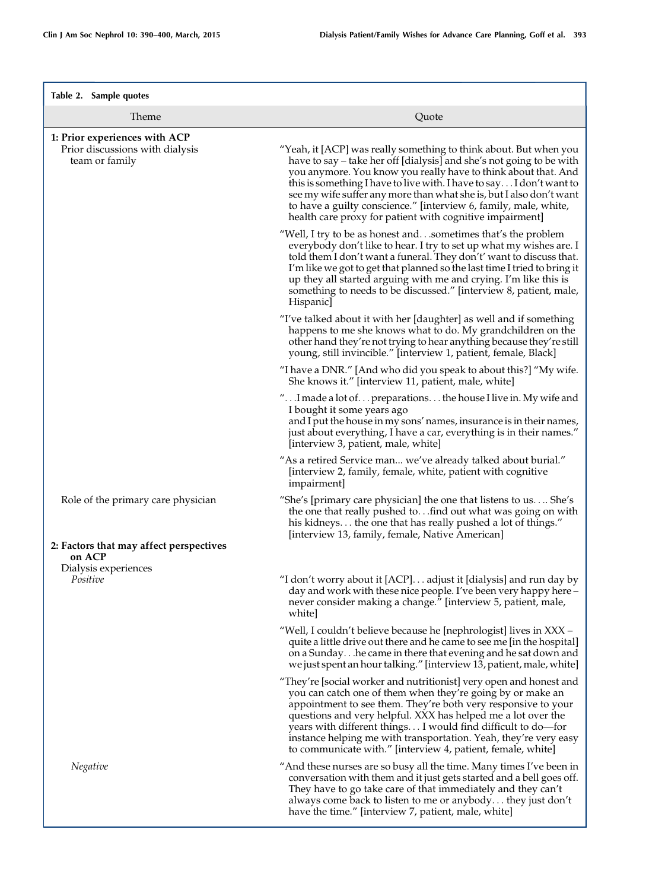| Table 2. Sample quotes                                                             |                                                                                                                                                                                                                                                                                                                                                                                                                                                                                           |
|------------------------------------------------------------------------------------|-------------------------------------------------------------------------------------------------------------------------------------------------------------------------------------------------------------------------------------------------------------------------------------------------------------------------------------------------------------------------------------------------------------------------------------------------------------------------------------------|
| Theme                                                                              | Quote                                                                                                                                                                                                                                                                                                                                                                                                                                                                                     |
| 1: Prior experiences with ACP<br>Prior discussions with dialysis<br>team or family | "Yeah, it [ACP] was really something to think about. But when you<br>have to say – take her off [dialysis] and she's not going to be with<br>you anymore. You know you really have to think about that. And<br>this is something I have to live with. I have to say I don't want to<br>see my wife suffer any more than what she is, but I also don't want<br>to have a guilty conscience." [interview 6, family, male, white,<br>health care proxy for patient with cognitive impairment |
|                                                                                    | "Well, I try to be as honest and sometimes that's the problem<br>everybody don't like to hear. I try to set up what my wishes are. I<br>told them I don't want a funeral. They don't' want to discuss that.<br>I'm like we got to get that planned so the last time I tried to bring it<br>up they all started arguing with me and crying. I'm like this is<br>something to needs to be discussed." [interview 8, patient, male,<br>Hispanic]                                             |
|                                                                                    | "I've talked about it with her [daughter] as well and if something<br>happens to me she knows what to do. My grandchildren on the<br>other hand they're not trying to hear anything because they're still<br>young, still invincible." [interview 1, patient, female, Black]                                                                                                                                                                                                              |
|                                                                                    | "I have a DNR." [And who did you speak to about this?] "My wife.<br>She knows it." [interview 11, patient, male, white]                                                                                                                                                                                                                                                                                                                                                                   |
|                                                                                    | " I made a lot of preparations the house I live in. My wife and<br>I bought it some years ago<br>and I put the house in my sons' names, insurance is in their names,<br>just about everything, I have a car, everything is in their names."<br>[interview 3, patient, male, white]                                                                                                                                                                                                        |
|                                                                                    | "As a retired Service man we've already talked about burial."<br>[interview 2, family, female, white, patient with cognitive<br>impairment]                                                                                                                                                                                                                                                                                                                                               |
| Role of the primary care physician                                                 | "She's [primary care physician] the one that listens to us She's<br>the one that really pushed to find out what was going on with<br>his kidneys the one that has really pushed a lot of things."<br>[interview 13, family, female, Native American]                                                                                                                                                                                                                                      |
| 2: Factors that may affect perspectives<br>on ACP                                  |                                                                                                                                                                                                                                                                                                                                                                                                                                                                                           |
| Dialysis experiences<br>Positive                                                   | "I don't worry about it [ACP] adjust it [dialysis] and run day by<br>day and work with these nice people. I've been very happy here -<br>never consider making a change." [interview 5, patient, male,<br>white                                                                                                                                                                                                                                                                           |
|                                                                                    | "Well, I couldn't believe because he [nephrologist] lives in XXX -<br>quite a little drive out there and he came to see me [in the hospital]<br>on a Sunday he came in there that evening and he sat down and<br>we just spent an hour talking." [interview 13, patient, male, white]                                                                                                                                                                                                     |
|                                                                                    | "They're [social worker and nutritionist] very open and honest and<br>you can catch one of them when they're going by or make an<br>appointment to see them. They're both very responsive to your<br>questions and very helpful. XXX has helped me a lot over the<br>years with different things I would find difficult to do-for<br>instance helping me with transportation. Yeah, they're very easy<br>to communicate with." [interview 4, patient, female, white]                      |
| Negative                                                                           | "And these nurses are so busy all the time. Many times I've been in<br>conversation with them and it just gets started and a bell goes off.<br>They have to go take care of that immediately and they can't<br>always come back to listen to me or anybody they just don't<br>have the time." [interview 7, patient, male, white]                                                                                                                                                         |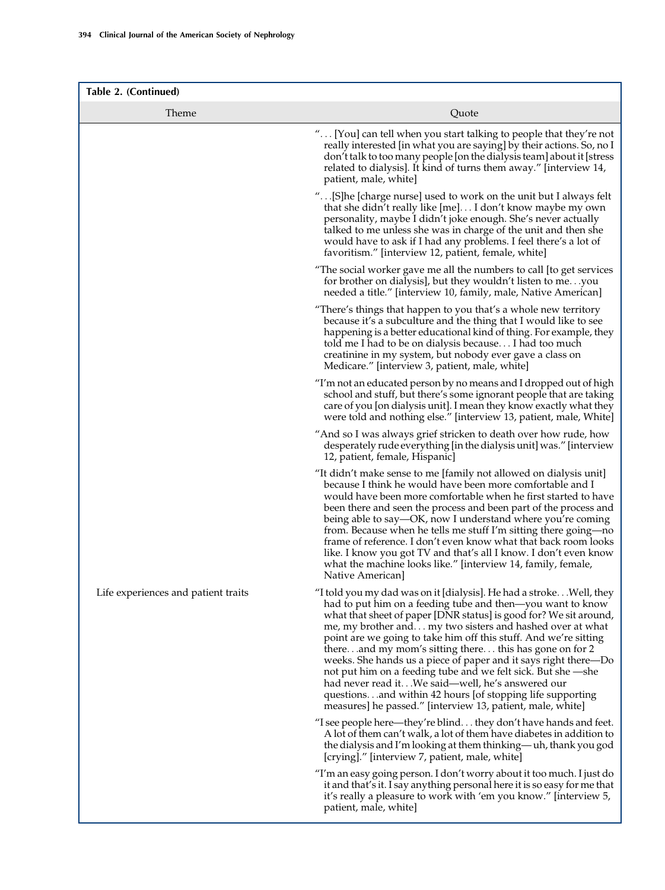| Table 2. (Continued)                |                                                                                                                                                                                                                                                                                                                                                                                                                                                                                                                                                                                                                                                                                                                     |
|-------------------------------------|---------------------------------------------------------------------------------------------------------------------------------------------------------------------------------------------------------------------------------------------------------------------------------------------------------------------------------------------------------------------------------------------------------------------------------------------------------------------------------------------------------------------------------------------------------------------------------------------------------------------------------------------------------------------------------------------------------------------|
| Theme                               | Quote                                                                                                                                                                                                                                                                                                                                                                                                                                                                                                                                                                                                                                                                                                               |
|                                     | " [You] can tell when you start talking to people that they're not<br>really interested [in what you are saying] by their actions. So, no I<br>don't talk to too many people [on the dialysis team] about it [stress<br>related to dialysis]. It kind of turns them away." [interview 14,<br>patient, male, white                                                                                                                                                                                                                                                                                                                                                                                                   |
|                                     | "[S]he [charge nurse] used to work on the unit but I always felt<br>that she didn't really like [me] I don't know maybe my own<br>personality, maybe I didn't joke enough. She's never actually<br>talked to me unless she was in charge of the unit and then she<br>would have to ask if I had any problems. I feel there's a lot of<br>favoritism." [interview 12, patient, female, white]                                                                                                                                                                                                                                                                                                                        |
|                                     | "The social worker gave me all the numbers to call [to get services<br>for brother on dialysis], but they wouldn't listen to meyou<br>needed a title." [interview 10, family, male, Native American]                                                                                                                                                                                                                                                                                                                                                                                                                                                                                                                |
|                                     | "There's things that happen to you that's a whole new territory<br>because it's a subculture and the thing that I would like to see<br>happening is a better educational kind of thing. For example, they<br>told me I had to be on dialysis because I had too much<br>creatinine in my system, but nobody ever gave a class on<br>Medicare." [interview 3, patient, male, white]                                                                                                                                                                                                                                                                                                                                   |
|                                     | "I'm not an educated person by no means and I dropped out of high<br>school and stuff, but there's some ignorant people that are taking<br>care of you [on dialysis unit]. I mean they know exactly what they<br>were told and nothing else." [interview 13, patient, male, White]                                                                                                                                                                                                                                                                                                                                                                                                                                  |
|                                     | "And so I was always grief stricken to death over how rude, how<br>desperately rude everything [in the dialysis unit] was." [interview<br>12, patient, female, Hispanic]                                                                                                                                                                                                                                                                                                                                                                                                                                                                                                                                            |
|                                     | "It didn't make sense to me [family not allowed on dialysis unit]<br>because I think he would have been more comfortable and I<br>would have been more comfortable when he first started to have<br>been there and seen the process and been part of the process and<br>being able to say—OK, now I understand where you're coming<br>from. Because when he tells me stuff I'm sitting there going—no<br>frame of reference. I don't even know what that back room looks<br>like. I know you got TV and that's all I know. I don't even know<br>what the machine looks like." [interview 14, family, female,<br>Native American]                                                                                    |
| Life experiences and patient traits | "I told you my dad was on it [dialysis]. He had a stroke Well, they<br>had to put him on a feeding tube and then—you want to know<br>what that sheet of paper [DNR status] is good for? We sit around,<br>me, my brother and my two sisters and hashed over at what<br>point are we going to take him off this stuff. And we're sitting<br>thereand my mom's sitting there this has gone on for 2<br>weeks. She hands us a piece of paper and it says right there—Do<br>not put him on a feeding tube and we felt sick. But she -she<br>had never read itWe said—well, he's answered our<br>questionsand within 42 hours [of stopping life supporting<br>measures] he passed." [interview 13, patient, male, white] |
|                                     | "I see people here—they're blind they don't have hands and feet.<br>A lot of them can't walk, a lot of them have diabetes in addition to<br>the dialysis and I'm looking at them thinking— uh, thank you god<br>[crying]." [interview 7, patient, male, white]                                                                                                                                                                                                                                                                                                                                                                                                                                                      |
|                                     | "I'm an easy going person. I don't worry about it too much. I just do<br>it and that's it. I say anything personal here it is so easy for me that<br>it's really a pleasure to work with 'em you know." [interview 5,<br>patient, male, white]                                                                                                                                                                                                                                                                                                                                                                                                                                                                      |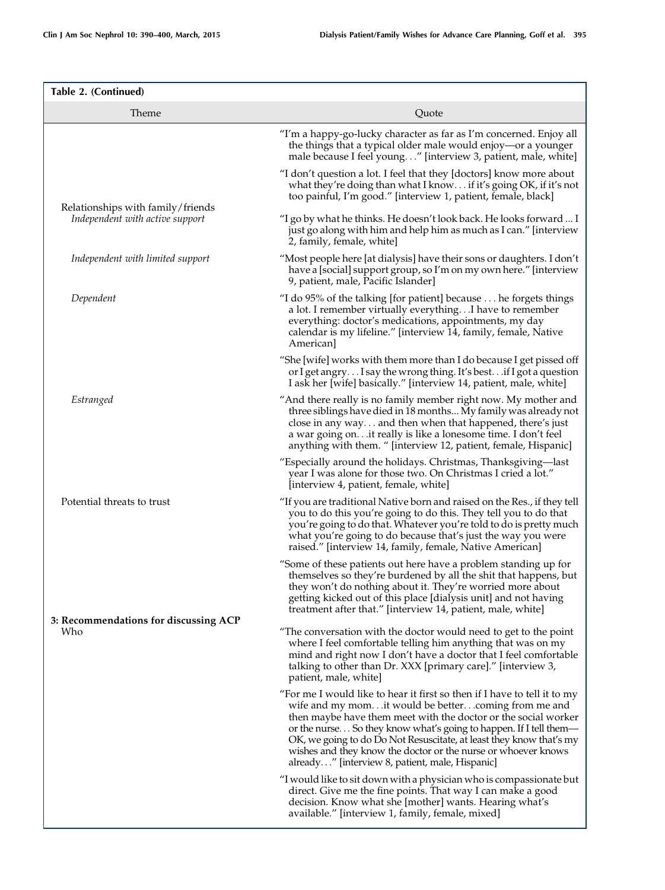| Table 2. (Continued)                                                 |                                                                                                                                                                                                                                                                                                                                                                                                                                                                   |
|----------------------------------------------------------------------|-------------------------------------------------------------------------------------------------------------------------------------------------------------------------------------------------------------------------------------------------------------------------------------------------------------------------------------------------------------------------------------------------------------------------------------------------------------------|
| Theme                                                                | Quote                                                                                                                                                                                                                                                                                                                                                                                                                                                             |
|                                                                      | "I'm a happy-go-lucky character as far as I'm concerned. Enjoy all<br>the things that a typical older male would enjoy—or a younger<br>male because I feel young" [interview 3, patient, male, white]                                                                                                                                                                                                                                                             |
| Relationships with family/friends<br>Independent with active support | "I don't question a lot. I feel that they [doctors] know more about<br>what they're doing than what I know if it's going $OK$ , if it's not<br>too painful, I'm good." [interview 1, patient, female, black]                                                                                                                                                                                                                                                      |
|                                                                      | "I go by what he thinks. He doesn't look back. He looks forward  I<br>just go along with him and help him as much as I can." [interview<br>2, family, female, white                                                                                                                                                                                                                                                                                               |
| Independent with limited support                                     | "Most people here [at dialysis] have their sons or daughters. I don't<br>have a [social] support group, so I'm on my own here." [interview<br>9, patient, male, Pacific Islander]                                                                                                                                                                                                                                                                                 |
| Dependent                                                            | "I do 95% of the talking [for patient] because $\dots$ he forgets things<br>a lot. I remember virtually everythingI have to remember<br>everything: doctor's medications, appointments, my day<br>calendar is my lifeline." [interview 14, family, female, Native<br>American]                                                                                                                                                                                    |
|                                                                      | "She [wife] works with them more than I do because I get pissed off<br>or I get angry I say the wrong thing. It's best if I got a question<br>I ask her [wife] basically." [interview 14, patient, male, white]                                                                                                                                                                                                                                                   |
| Estranged                                                            | "And there really is no family member right now. My mother and<br>three siblings have died in 18 months My family was already not<br>close in any way and then when that happened, there's just<br>a war going on it really is like a lonesome time. I don't feel<br>anything with them. " [interview 12, patient, female, Hispanic]                                                                                                                              |
|                                                                      | "Especially around the holidays. Christmas, Thanksgiving—last<br>year I was alone for those two. On Christmas I cried a lot."<br>[interview 4, patient, female, white]                                                                                                                                                                                                                                                                                            |
| Potential threats to trust                                           | "If you are traditional Native born and raised on the Res., if they tell<br>you to do this you're going to do this. They tell you to do that<br>you're going to do that. Whatever you're told to do is pretty much<br>what you're going to do because that's just the way you were<br>raised." [interview 14, family, female, Native American]                                                                                                                    |
|                                                                      | "Some of these patients out here have a problem standing up for<br>themselves so they're burdened by all the shit that happens, but<br>they won't do nothing about it. They're worried more about<br>getting kicked out of this place [dialysis unit] and not having<br>treatment after that." [interview 14, patient, male, white]                                                                                                                               |
| 3: Recommendations for discussing ACP<br>Who                         | "The conversation with the doctor would need to get to the point<br>where I feel comfortable telling him anything that was on my<br>mind and right now I don't have a doctor that I feel comfortable<br>talking to other than Dr. XXX [primary care]." [interview 3,<br>patient, male, white]                                                                                                                                                                     |
|                                                                      | "For me I would like to hear it first so then if I have to tell it to my<br>wife and my momit would be bettercoming from me and<br>then maybe have them meet with the doctor or the social worker<br>or the nurse So they know what's going to happen. If I tell them—<br>OK, we going to do Do Not Resuscitate, at least they know that's my<br>wishes and they know the doctor or the nurse or whoever knows<br>already" [interview 8, patient, male, Hispanic] |
|                                                                      | "I would like to sit down with a physician who is compassionate but<br>direct. Give me the fine points. That way I can make a good<br>decision. Know what she [mother] wants. Hearing what's<br>available." [interview 1, family, female, mixed]                                                                                                                                                                                                                  |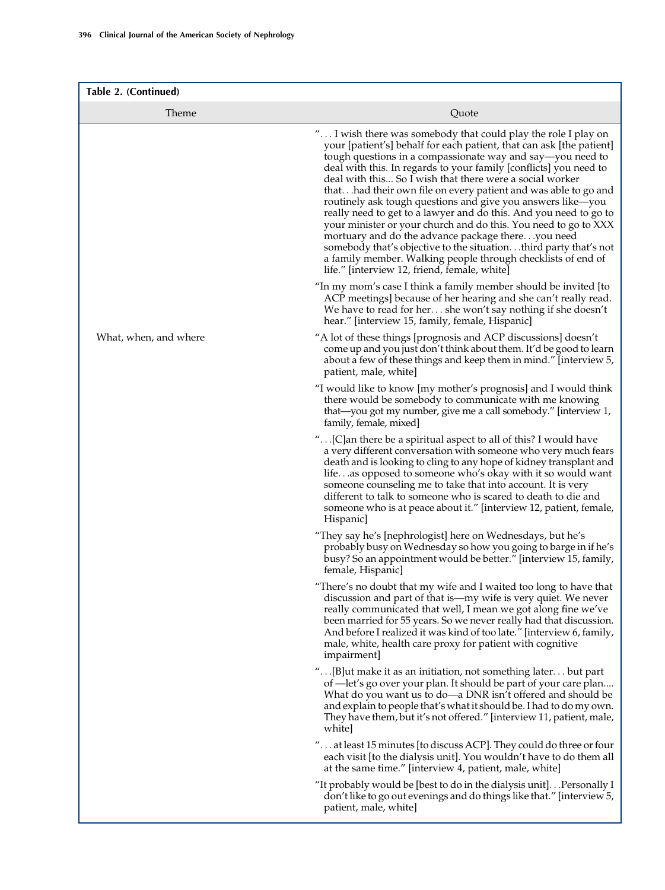| Table 2. (Continued)  |                                                                                                                                                                                                                                                                                                                                                                                                                                                                                                                                                                                                                                                                                                                                                                                                                                                          |
|-----------------------|----------------------------------------------------------------------------------------------------------------------------------------------------------------------------------------------------------------------------------------------------------------------------------------------------------------------------------------------------------------------------------------------------------------------------------------------------------------------------------------------------------------------------------------------------------------------------------------------------------------------------------------------------------------------------------------------------------------------------------------------------------------------------------------------------------------------------------------------------------|
| Theme                 | Quote                                                                                                                                                                                                                                                                                                                                                                                                                                                                                                                                                                                                                                                                                                                                                                                                                                                    |
|                       | " I wish there was somebody that could play the role I play on<br>your [patient's] behalf for each patient, that can ask [the patient]<br>tough questions in a compassionate way and say—you need to<br>deal with this. In regards to your family [conflicts] you need to<br>deal with this So I wish that there were a social worker<br>that had their own file on every patient and was able to go and<br>routinely ask tough questions and give you answers like-you<br>really need to get to a lawyer and do this. And you need to go to<br>your minister or your church and do this. You need to go to XXX<br>mortuary and do the advance package thereyou need<br>somebody that's objective to the situationthird party that's not<br>a family member. Walking people through checklists of end of<br>life." [interview 12, friend, female, white] |
|                       | "In my mom's case I think a family member should be invited [to<br>ACP meetings] because of her hearing and she can't really read.<br>We have to read for her she won't say nothing if she doesn't<br>hear." [interview 15, family, female, Hispanic]                                                                                                                                                                                                                                                                                                                                                                                                                                                                                                                                                                                                    |
| What, when, and where | "A lot of these things [prognosis and ACP discussions] doesn't<br>come up and you just don't think about them. It'd be good to learn<br>about a few of these things and keep them in mind." [interview 5,<br>patient, male, white]                                                                                                                                                                                                                                                                                                                                                                                                                                                                                                                                                                                                                       |
|                       | "I would like to know [my mother's prognosis] and I would think<br>there would be somebody to communicate with me knowing<br>that—you got my number, give me a call somebody." [interview 1,<br>family, female, mixed]                                                                                                                                                                                                                                                                                                                                                                                                                                                                                                                                                                                                                                   |
|                       | " [C]an there be a spiritual aspect to all of this? I would have<br>a very different conversation with someone who very much fears<br>death and is looking to cling to any hope of kidney transplant and<br>lifeas opposed to someone who's okay with it so would want<br>someone counseling me to take that into account. It is very<br>different to talk to someone who is scared to death to die and<br>someone who is at peace about it." [interview 12, patient, female,<br>Hispanic]                                                                                                                                                                                                                                                                                                                                                               |
|                       | "They say he's [nephrologist] here on Wednesdays, but he's<br>probably busy on Wednesday so how you going to barge in if he's<br>busy? So an appointment would be better." [interview 15, family,<br>female, Hispanic]                                                                                                                                                                                                                                                                                                                                                                                                                                                                                                                                                                                                                                   |
|                       | "There's no doubt that my wife and I waited too long to have that<br>discussion and part of that is—my wife is very quiet. We never<br>really communicated that well, I mean we got along fine we've<br>been married for 55 years. So we never really had that discussion.<br>And before I realized it was kind of too late." [interview 6, family,<br>male, white, health care proxy for patient with cognitive<br>impairment]                                                                                                                                                                                                                                                                                                                                                                                                                          |
|                       | "[B]ut make it as an initiation, not something later but part<br>of -let's go over your plan. It should be part of your care plan<br>What do you want us to do-a DNR isn't offered and should be<br>and explain to people that's what it should be. I had to do my own.<br>They have them, but it's not offered." [interview 11, patient, male,<br>white                                                                                                                                                                                                                                                                                                                                                                                                                                                                                                 |
|                       | " at least 15 minutes [to discuss ACP]. They could do three or four<br>each visit [to the dialysis unit]. You wouldn't have to do them all<br>at the same time." [interview 4, patient, male, white]                                                                                                                                                                                                                                                                                                                                                                                                                                                                                                                                                                                                                                                     |
|                       | "It probably would be [best to do in the dialysis unit] Personally I<br>don't like to go out evenings and do things like that." [interview 5,<br>patient, male, white]                                                                                                                                                                                                                                                                                                                                                                                                                                                                                                                                                                                                                                                                                   |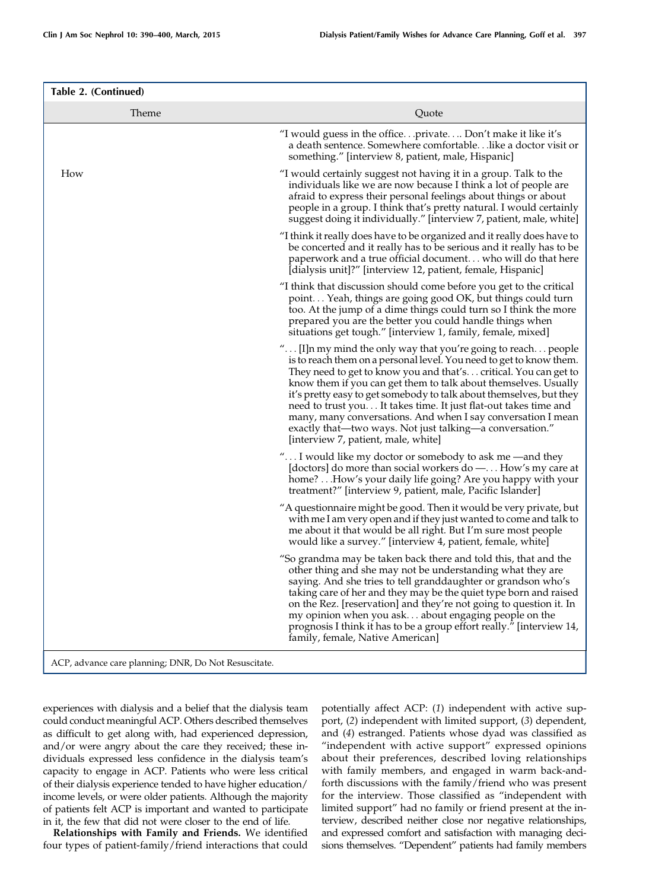| Table 2. (Continued) |                                                                                                                                                                                                                                                                                                                                                                                                                                                                                                                                                                                           |
|----------------------|-------------------------------------------------------------------------------------------------------------------------------------------------------------------------------------------------------------------------------------------------------------------------------------------------------------------------------------------------------------------------------------------------------------------------------------------------------------------------------------------------------------------------------------------------------------------------------------------|
| Theme                | Quote                                                                                                                                                                                                                                                                                                                                                                                                                                                                                                                                                                                     |
|                      | "I would guess in the officeprivate Don't make it like it's<br>a death sentence. Somewhere comfortable.like a doctor visit or<br>something." [interview 8, patient, male, Hispanic]                                                                                                                                                                                                                                                                                                                                                                                                       |
| How                  | "I would certainly suggest not having it in a group. Talk to the<br>individuals like we are now because I think a lot of people are<br>afraid to express their personal feelings about things or about<br>people in a group. I think that's pretty natural. I would certainly<br>suggest doing it individually." [interview 7, patient, male, white]                                                                                                                                                                                                                                      |
|                      | "I think it really does have to be organized and it really does have to<br>be concerted and it really has to be serious and it really has to be<br>paperwork and a true official document who will do that here<br>[dialysis unit]?" [interview 12, patient, female, Hispanic]                                                                                                                                                                                                                                                                                                            |
|                      | "I think that discussion should come before you get to the critical<br>point Yeah, things are going good OK, but things could turn<br>too. At the jump of a dime things could turn so I think the more<br>prepared you are the better you could handle things when<br>situations get tough." [interview 1, family, female, mixed]                                                                                                                                                                                                                                                         |
|                      | " [I]n my mind the only way that you're going to reach people<br>is to reach them on a personal level. You need to get to know them.<br>They need to get to know you and that's critical. You can get to<br>know them if you can get them to talk about themselves. Usually<br>it's pretty easy to get somebody to talk about themselves, but they<br>need to trust you It takes time. It just flat-out takes time and<br>many, many conversations. And when I say conversation I mean<br>exactly that—two ways. Not just talking—a conversation."<br>[interview 7, patient, male, white] |
|                      | " I would like my doctor or somebody to ask me -and they<br>[doctors] do more than social workers do $-\dots$ How's my care at<br>home? How's your daily life going? Are you happy with your<br>treatment?" [interview 9, patient, male, Pacific Islander]                                                                                                                                                                                                                                                                                                                                |
|                      | "A questionnaire might be good. Then it would be very private, but<br>with me I am very open and if they just wanted to come and talk to<br>me about it that would be all right. But I'm sure most people<br>would like a survey." [interview 4, patient, female, white]                                                                                                                                                                                                                                                                                                                  |
|                      | "So grandma may be taken back there and told this, that and the<br>other thing and she may not be understanding what they are<br>saying. And she tries to tell granddaughter or grandson who's<br>taking care of her and they may be the quiet type born and raised<br>on the Rez. [reservation] and they're not going to question it. In<br>my opinion when you ask about engaging people on the<br>prognosis I think it has to be a group effort really." [interview 14,<br>family, female, Native American]                                                                            |
|                      |                                                                                                                                                                                                                                                                                                                                                                                                                                                                                                                                                                                           |

ACP, advance care planning; DNR, Do Not Resuscitate.

experiences with dialysis and a belief that the dialysis team could conduct meaningful ACP. Others described themselves as difficult to get along with, had experienced depression, and/or were angry about the care they received; these individuals expressed less confidence in the dialysis team's capacity to engage in ACP. Patients who were less critical of their dialysis experience tended to have higher education/ income levels, or were older patients. Although the majority of patients felt ACP is important and wanted to participate in it, the few that did not were closer to the end of life.

Relationships with Family and Friends. We identified four types of patient-family/friend interactions that could potentially affect ACP: (1) independent with active support, (2) independent with limited support, (3) dependent, and (4) estranged. Patients whose dyad was classified as "independent with active support" expressed opinions about their preferences, described loving relationships with family members, and engaged in warm back-andforth discussions with the family/friend who was present for the interview. Those classified as "independent with limited support" had no family or friend present at the interview, described neither close nor negative relationships, and expressed comfort and satisfaction with managing decisions themselves. "Dependent" patients had family members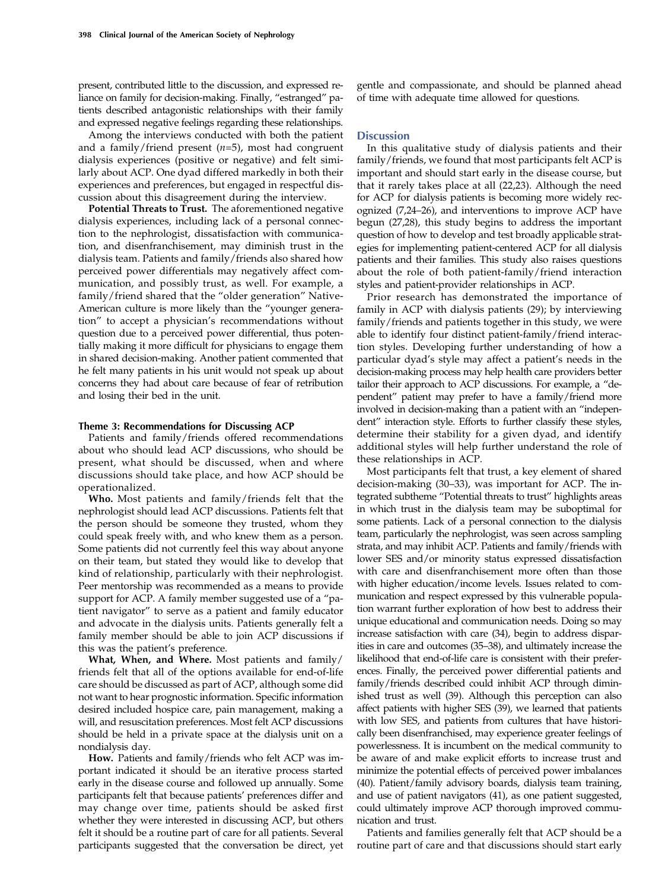present, contributed little to the discussion, and expressed reliance on family for decision-making. Finally, "estranged" patients described antagonistic relationships with their family and expressed negative feelings regarding these relationships.

Among the interviews conducted with both the patient and a family/friend present  $(n=5)$ , most had congruent dialysis experiences (positive or negative) and felt similarly about ACP. One dyad differed markedly in both their experiences and preferences, but engaged in respectful discussion about this disagreement during the interview.

Potential Threats to Trust. The aforementioned negative dialysis experiences, including lack of a personal connection to the nephrologist, dissatisfaction with communication, and disenfranchisement, may diminish trust in the dialysis team. Patients and family/friends also shared how perceived power differentials may negatively affect communication, and possibly trust, as well. For example, a family/friend shared that the "older generation" Native-American culture is more likely than the "younger generation" to accept a physician's recommendations without question due to a perceived power differential, thus potentially making it more difficult for physicians to engage them in shared decision-making. Another patient commented that he felt many patients in his unit would not speak up about concerns they had about care because of fear of retribution and losing their bed in the unit.

#### Theme 3: Recommendations for Discussing ACP

Patients and family/friends offered recommendations about who should lead ACP discussions, who should be present, what should be discussed, when and where discussions should take place, and how ACP should be operationalized.

Who. Most patients and family/friends felt that the nephrologist should lead ACP discussions. Patients felt that the person should be someone they trusted, whom they could speak freely with, and who knew them as a person. Some patients did not currently feel this way about anyone on their team, but stated they would like to develop that kind of relationship, particularly with their nephrologist. Peer mentorship was recommended as a means to provide support for ACP. A family member suggested use of a "patient navigator" to serve as a patient and family educator and advocate in the dialysis units. Patients generally felt a family member should be able to join ACP discussions if this was the patient's preference.

What, When, and Where. Most patients and family/ friends felt that all of the options available for end-of-life care should be discussed as part of ACP, although some did not want to hear prognostic information. Specific information desired included hospice care, pain management, making a will, and resuscitation preferences. Most felt ACP discussions should be held in a private space at the dialysis unit on a nondialysis day.

How. Patients and family/friends who felt ACP was important indicated it should be an iterative process started early in the disease course and followed up annually. Some participants felt that because patients' preferences differ and may change over time, patients should be asked first whether they were interested in discussing ACP, but others felt it should be a routine part of care for all patients. Several participants suggested that the conversation be direct, yet gentle and compassionate, and should be planned ahead of time with adequate time allowed for questions.

## **Discussion**

In this qualitative study of dialysis patients and their family/friends, we found that most participants felt ACP is important and should start early in the disease course, but that it rarely takes place at all (22,23). Although the need for ACP for dialysis patients is becoming more widely recognized (7,24–26), and interventions to improve ACP have begun (27,28), this study begins to address the important question of how to develop and test broadly applicable strategies for implementing patient-centered ACP for all dialysis patients and their families. This study also raises questions about the role of both patient-family/friend interaction styles and patient-provider relationships in ACP.

Prior research has demonstrated the importance of family in ACP with dialysis patients (29); by interviewing family/friends and patients together in this study, we were able to identify four distinct patient-family/friend interaction styles. Developing further understanding of how a particular dyad's style may affect a patient's needs in the decision-making process may help health care providers better tailor their approach to ACP discussions. For example, a "dependent" patient may prefer to have a family/friend more involved in decision-making than a patient with an "independent" interaction style. Efforts to further classify these styles, determine their stability for a given dyad, and identify additional styles will help further understand the role of these relationships in ACP.

Most participants felt that trust, a key element of shared decision-making (30–33), was important for ACP. The integrated subtheme "Potential threats to trust" highlights areas in which trust in the dialysis team may be suboptimal for some patients. Lack of a personal connection to the dialysis team, particularly the nephrologist, was seen across sampling strata, and may inhibit ACP. Patients and family/friends with lower SES and/or minority status expressed dissatisfaction with care and disenfranchisement more often than those with higher education/income levels. Issues related to communication and respect expressed by this vulnerable population warrant further exploration of how best to address their unique educational and communication needs. Doing so may increase satisfaction with care (34), begin to address disparities in care and outcomes (35–38), and ultimately increase the likelihood that end-of-life care is consistent with their preferences. Finally, the perceived power differential patients and family/friends described could inhibit ACP through diminished trust as well (39). Although this perception can also affect patients with higher SES (39), we learned that patients with low SES, and patients from cultures that have historically been disenfranchised, may experience greater feelings of powerlessness. It is incumbent on the medical community to be aware of and make explicit efforts to increase trust and minimize the potential effects of perceived power imbalances (40). Patient/family advisory boards, dialysis team training, and use of patient navigators (41), as one patient suggested, could ultimately improve ACP thorough improved communication and trust.

Patients and families generally felt that ACP should be a routine part of care and that discussions should start early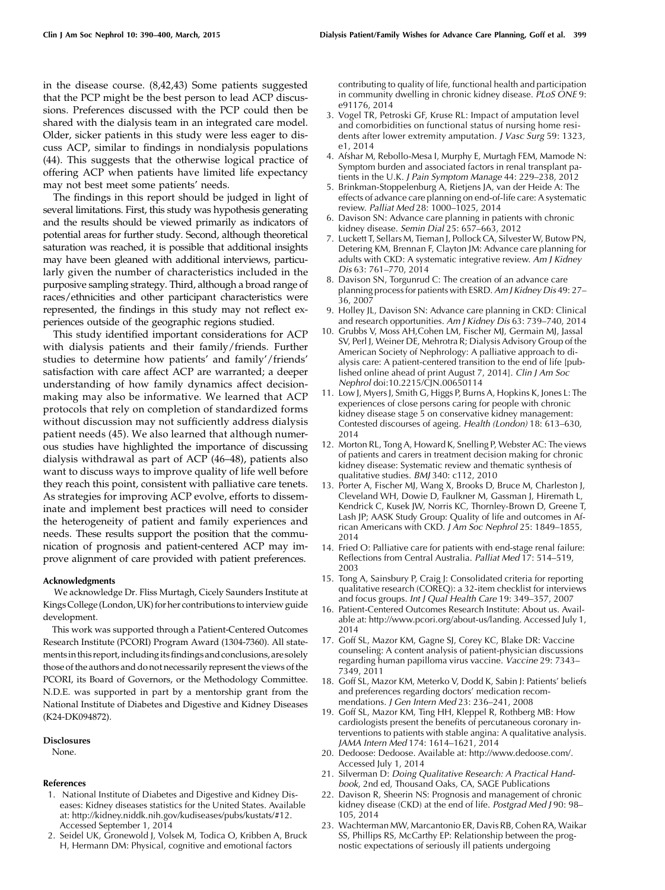in the disease course. (8,42,43) Some patients suggested that the PCP might be the best person to lead ACP discussions. Preferences discussed with the PCP could then be shared with the dialysis team in an integrated care model. Older, sicker patients in this study were less eager to discuss ACP, similar to findings in nondialysis populations (44). This suggests that the otherwise logical practice of offering ACP when patients have limited life expectancy may not best meet some patients' needs.

The findings in this report should be judged in light of several limitations. First, this study was hypothesis generating and the results should be viewed primarily as indicators of potential areas for further study. Second, although theoretical saturation was reached, it is possible that additional insights may have been gleaned with additional interviews, particularly given the number of characteristics included in the purposive sampling strategy. Third, although a broad range of races/ethnicities and other participant characteristics were represented, the findings in this study may not reflect experiences outside of the geographic regions studied.

This study identified important considerations for ACP with dialysis patients and their family/friends. Further studies to determine how patients' and family'/friends' satisfaction with care affect ACP are warranted; a deeper understanding of how family dynamics affect decisionmaking may also be informative. We learned that ACP protocols that rely on completion of standardized forms without discussion may not sufficiently address dialysis patient needs (45). We also learned that although numerous studies have highlighted the importance of discussing dialysis withdrawal as part of ACP (46–48), patients also want to discuss ways to improve quality of life well before they reach this point, consistent with palliative care tenets. As strategies for improving ACP evolve, efforts to disseminate and implement best practices will need to consider the heterogeneity of patient and family experiences and needs. These results support the position that the communication of prognosis and patient-centered ACP may improve alignment of care provided with patient preferences.

#### Acknowledgments

We acknowledge Dr. Fliss Murtagh, Cicely Saunders Institute at Kings College (London, UK) for her contributions to interview guide development.

This work was supported through a Patient-Centered Outcomes Research Institute (PCORI) Program Award (1304-7360). All statements in this report, including its findings and conclusions, are solely those of the authors and do not necessarily represent the views of the PCORI, its Board of Governors, or the Methodology Committee. N.D.E. was supported in part by a mentorship grant from the National Institute of Diabetes and Digestive and Kidney Diseases (K24-DK094872).

#### Disclosures

None.

#### References

- 1. National Institute of Diabetes and Digestive and Kidney Diseases: Kidney diseases statistics for the United States. Available at: [http://kidney.niddk.nih.gov/kudiseases/pubs/kustats/#12.](http://kidney.niddk.nih.gov/kudiseases/pubs/kustats/#12) Accessed September 1, 2014
- 2. Seidel UK, Gronewold J, Volsek M, Todica O, Kribben A, Bruck H, Hermann DM: Physical, cognitive and emotional factors

contributing to quality of life, functional health and participation in community dwelling in chronic kidney disease. PLoS ONE 9: e91176, 2014

- 3. Vogel TR, Petroski GF, Kruse RL: Impact of amputation level and comorbidities on functional status of nursing home residents after lower extremity amputation. *J Vasc Surg* 59: 1323, e1, 2014
- 4. Afshar M, Rebollo-Mesa I, Murphy E, Murtagh FEM, Mamode N: Symptom burden and associated factors in renal transplant patients in the U.K. J Pain Symptom Manage 44: 229–238, 2012
- 5. Brinkman-Stoppelenburg A, Rietjens JA, van der Heide A: The effects of advance care planning on end-of-life care: A systematic review. Palliat Med 28: 1000–1025, 2014
- 6. Davison SN: Advance care planning in patients with chronic kidney disease. Semin Dial 25: 657–663, 2012
- 7. Luckett T, Sellars M, Tieman J, Pollock CA, Silvester W, Butow PN, Detering KM, Brennan F, Clayton JM: Advance care planning for adults with CKD: A systematic integrative review. Am J Kidney Dis 63: 761–770, 2014
- 8. Davison SN, Torgunrud C: The creation of an advance care planning process for patients with ESRD. Am J Kidney Dis 49: 27– 36, 2007
- 9. Holley JL, Davison SN: Advance care planning in CKD: Clinical and research opportunities. Am J Kidney Dis 63: 739–740, 2014
- 10. Grubbs V, Moss AH,Cohen LM, Fischer MJ, Germain MJ, Jassal SV, Perl J, Weiner DE, Mehrotra R; Dialysis Advisory Group of the American Society of Nephrology: A palliative approach to dialysis care: A patient-centered transition to the end of life [published online ahead of print August 7, 2014]. Clin J Am Soc Nephrol doi:10.2215/CJN.00650114
- 11. Low J, Myers J, Smith G, Higgs P, Burns A, Hopkins K, Jones L: The experiences of close persons caring for people with chronic kidney disease stage 5 on conservative kidney management: Contested discourses of ageing. Health (London) 18: 613–630, 2014
- 12. Morton RL, Tong A, Howard K, Snelling P, Webster AC: The views of patients and carers in treatment decision making for chronic kidney disease: Systematic review and thematic synthesis of qualitative studies. BMJ 340: c112, 2010
- 13. Porter A, Fischer MJ, Wang X, Brooks D, Bruce M, Charleston J, Cleveland WH, Dowie D, Faulkner M, Gassman J, Hiremath L, Kendrick C, Kusek JW, Norris KC, Thornley-Brown D, Greene T, Lash JP; AASK Study Group: Quality of life and outcomes in African Americans with CKD. J Am Soc Nephrol 25: 1849-1855, 2014
- 14. Fried O: Palliative care for patients with end-stage renal failure: Reflections from Central Australia. Palliat Med 17: 514-519, 2003
- 15. Tong A, Sainsbury P, Craig J: Consolidated criteria for reporting qualitative research (COREQ): a 32-item checklist for interviews and focus groups. Int J Qual Health Care 19: 349–357, 2007
- 16. Patient-Centered Outcomes Research Institute: About us. Available at: [http://www.pcori.org/about-us/landing.](http://www.pcori.org/about-us/landing) Accessed July 1, 2014
- 17. Goff SL, Mazor KM, Gagne SJ, Corey KC, Blake DR: Vaccine counseling: A content analysis of patient-physician discussions regarding human papilloma virus vaccine. Vaccine 29: 7343– 7349, 2011
- 18. Goff SL, Mazor KM, Meterko V, Dodd K, Sabin J: Patients' beliefs and preferences regarding doctors' medication recommendations. J Gen Intern Med 23: 236–241, 2008
- 19. Goff SL, Mazor KM, Ting HH, Kleppel R, Rothberg MB: How cardiologists present the benefits of percutaneous coronary interventions to patients with stable angina: A qualitative analysis. JAMA Intern Med 174: 1614–1621, 2014
- 20. Dedoose: Dedoose. Available at:<http://www.dedoose.com/>. Accessed July 1, 2014
- 21. Silverman D: Doing Qualitative Research: A Practical Handbook, 2nd ed, Thousand Oaks, CA, SAGE Publications
- 22. Davison R, Sheerin NS: Prognosis and management of chronic kidney disease (CKD) at the end of life. Postgrad Med J 90: 98-105, 2014
- 23. Wachterman MW, Marcantonio ER, Davis RB, Cohen RA, Waikar SS, Phillips RS, McCarthy EP: Relationship between the prognostic expectations of seriously ill patients undergoing